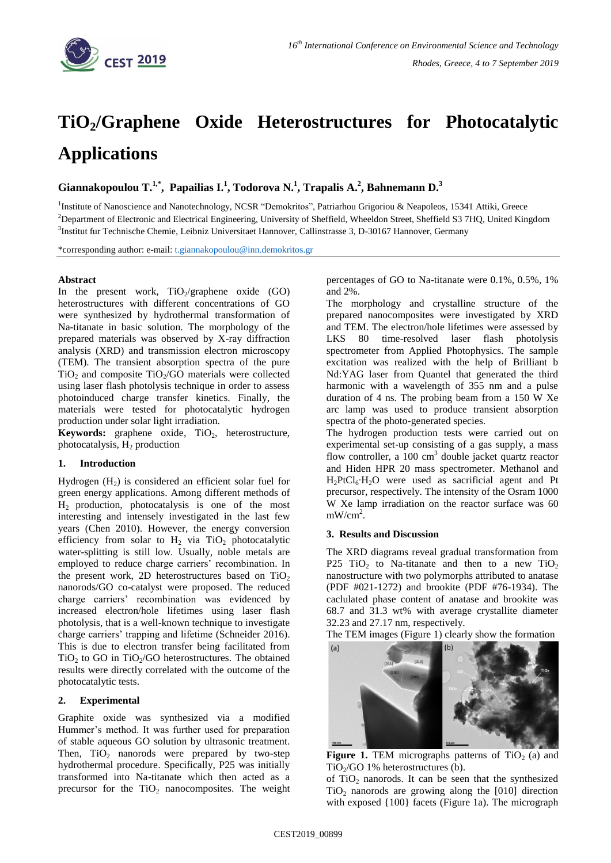

# **TiO2/Graphene Oxide Heterostructures for Photocatalytic Applications**

**Giannakopoulou T.1,\* , Papailias I.<sup>1</sup> , Todorova N. 1 , Trapalis A. 2 , Bahnemann D.<sup>3</sup>**

<sup>1</sup>Institute of Nanoscience and Nanotechnology, NCSR "Demokritos", Patriarhou Grigoriou & Neapoleos, 15341 Attiki, Greece <sup>2</sup>Department of Electronic and Electrical Engineering, University of Sheffield, Wheeldon Street, Sheffield S3 7HQ, United Kingdom 3 Institut fur Technische Chemie, Leibniz Universitaet Hannover, Callinstrasse 3, D-30167 Hannover, Germany

\*corresponding author: e-mail: [t.giannakopoulou@inn.demokritos.gr](mailto:t.giannakopoulou@inn.demokritos.gr)

## **Abstract**

In the present work,  $TiO<sub>2</sub>/graphene$  oxide (GO) heterostructures with different concentrations of GO were synthesized by hydrothermal transformation of Na-titanate in basic solution. The morphology of the prepared materials was observed by X-ray diffraction analysis (XRD) and transmission electron microscopy (TEM). The transient absorption spectra of the pure  $TiO<sub>2</sub>$  and composite  $TiO<sub>2</sub>/GO$  materials were collected using laser flash photolysis technique in order to assess photoinduced charge transfer kinetics. Finally, the materials were tested for photocatalytic hydrogen production under solar light irradiation.

**Keywords:** graphene oxide, TiO<sub>2</sub>, heterostructure, photocatalysis,  $H_2$  production

## **1. Introduction**

Hydrogen  $(H_2)$  is considered an efficient solar fuel for green energy applications. Among different methods of H<sup>2</sup> production, photocatalysis is one of the most interesting and intensely investigated in the last few years (Chen 2010). However, the energy conversion efficiency from solar to  $H_2$  via TiO<sub>2</sub> photocatalytic water-splitting is still low. Usually, noble metals are employed to reduce charge carriers' recombination. In the present work, 2D heterostructures based on  $TiO<sub>2</sub>$ nanorods/GO co-catalyst were proposed. The reduced charge carriers' recombination was evidenced by increased electron/hole lifetimes using laser flash photolysis, that is a well-known technique to investigate charge carriers' trapping and lifetime (Schneider 2016). This is due to electron transfer being facilitated from  $TiO<sub>2</sub>$  to GO in  $TiO<sub>2</sub>/GO$  heterostructures. The obtained results were directly correlated with the outcome of the photocatalytic tests.

## **2. Experimental**

Graphite oxide was synthesized via a modified Hummer's method. It was further used for preparation of stable aqueous GO solution by ultrasonic treatment. Then,  $TiO<sub>2</sub>$  nanorods were prepared by two-step hydrothermal procedure. Specifically, P25 was initially transformed into Na-titanate which then acted as a precursor for the  $TiO<sub>2</sub>$  nanocomposites. The weight percentages of GO to Na-titanate were 0.1%, 0.5%, 1% and 2%.

The morphology and crystalline structure of the prepared nanocomposites were investigated by XRD and TEM. The electron/hole lifetimes were assessed by LKS 80 time-resolved laser flash photolysis spectrometer from Applied Photophysics. The sample excitation was realized with the help of Brilliant b Nd:YAG laser from Quantel that generated the third harmonic with a wavelength of 355 nm and a pulse duration of 4 ns. The probing beam from a 150 W Xe arc lamp was used to produce transient absorption spectra of the photo-generated species.

The hydrogen production tests were carried out on experimental set-up consisting of a gas supply, a mass flow controller, a 100 cm<sup>3</sup> double jacket quartz reactor and Hiden HPR 20 mass spectrometer. Methanol and H2PtCl6∙H2O were used as sacrificial agent and Pt precursor, respectively. The intensity of the Osram 1000 W Xe lamp irradiation on the reactor surface was 60  $mW/cm<sup>2</sup>$ .

#### **3. Results and Discussion**

The XRD diagrams reveal gradual transformation from P25 TiO<sub>2</sub> to Na-titanate and then to a new TiO<sub>2</sub> nanostructure with two polymorphs attributed to anatase (PDF #021-1272) and brookite (PDF #76-1934). The caclulated phase content of anatase and brookite was 68.7 and 31.3 wt% with average crystallite diameter 32.23 and 27.17 nm, respectively.

The TEM images (Figure 1) clearly show the formation



**Figure 1.** TEM micrographs patterns of  $TiO<sub>2</sub>$  (a) and  $TiO<sub>2</sub>/GO$  1% heterostructures (b).

of  $TiO<sub>2</sub>$  nanorods. It can be seen that the synthesized  $TiO<sub>2</sub>$  nanorods are growing along the [010] direction with exposed  $\{100\}$  facets (Figure 1a). The micrograph